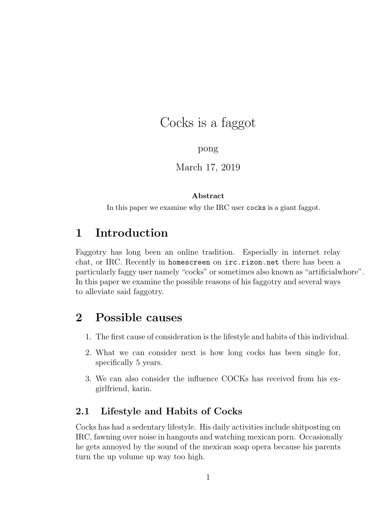# Cocks is a faggot

## pong

## March 17, 2019

### Abstract

In this paper we examine why the IRC user cocks is a giant faggot.

# 1 Introduction

Faggotry has long been an online tradition. Especially in internet relay chat, or IRC. Recently in homescreen on irc.rizon.net there has been a particularly faggy user namely "cocks" or sometimes also known as "artificialwhore". In this paper we examine the possible reasons of his faggotry and several ways to alleviate said faggotry.

# 2 Possible causes

- 1. The first cause of consideration is the lifestyle and habits of this individual.
- 2. What we can consider next is how long cocks has been single for, specifically 5 years.
- 3. We can also consider the influence COCKs has received from his exgirlfriend, karin.

# 2.1 Lifestyle and Habits of Cocks

Cocks has had a sedentary lifestyle. His daily activities include shitposting on IRC, fawning over noise in hangouts and watching mexican porn. Occasionally he gets annoyed by the sound of the mexican soap opera because his parents turn the up volume up way too high.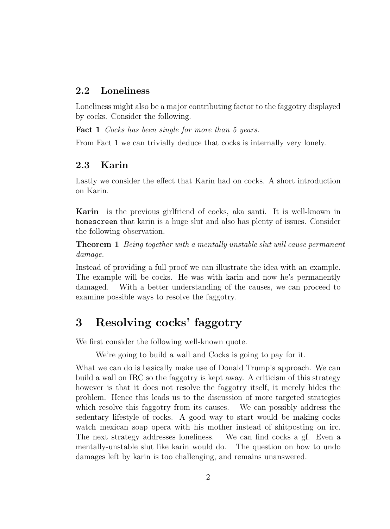## 2.2 Loneliness

Loneliness might also be a major contributing factor to the faggotry displayed by cocks. Consider the following.

Fact 1 Cocks has been single for more than 5 years.

From Fact 1 we can trivially deduce that cocks is internally very lonely.

## 2.3 Karin

Lastly we consider the effect that Karin had on cocks. A short introduction on Karin.

Karin is the previous girlfriend of cocks, aka santi. It is well-known in homescreen that karin is a huge slut and also has plenty of issues. Consider the following observation.

**Theorem 1** Being together with a mentally unstable slut will cause permanent damage.

Instead of providing a full proof we can illustrate the idea with an example. The example will be cocks. He was with karin and now he's permanently damaged. With a better understanding of the causes, we can proceed to examine possible ways to resolve the faggotry.

# 3 Resolving cocks' faggotry

We first consider the following well-known quote.

We're going to build a wall and Cocks is going to pay for it.

What we can do is basically make use of Donald Trump's approach. We can build a wall on IRC so the faggotry is kept away. A criticism of this strategy however is that it does not resolve the faggotry itself, it merely hides the problem. Hence this leads us to the discussion of more targeted strategies which resolve this faggotry from its causes. We can possibly address the sedentary lifestyle of cocks. A good way to start would be making cocks watch mexican soap opera with his mother instead of shitposting on irc. The next strategy addresses loneliness. We can find cocks a gf. Even a mentally-unstable slut like karin would do. The question on how to undo damages left by karin is too challenging, and remains unanswered.